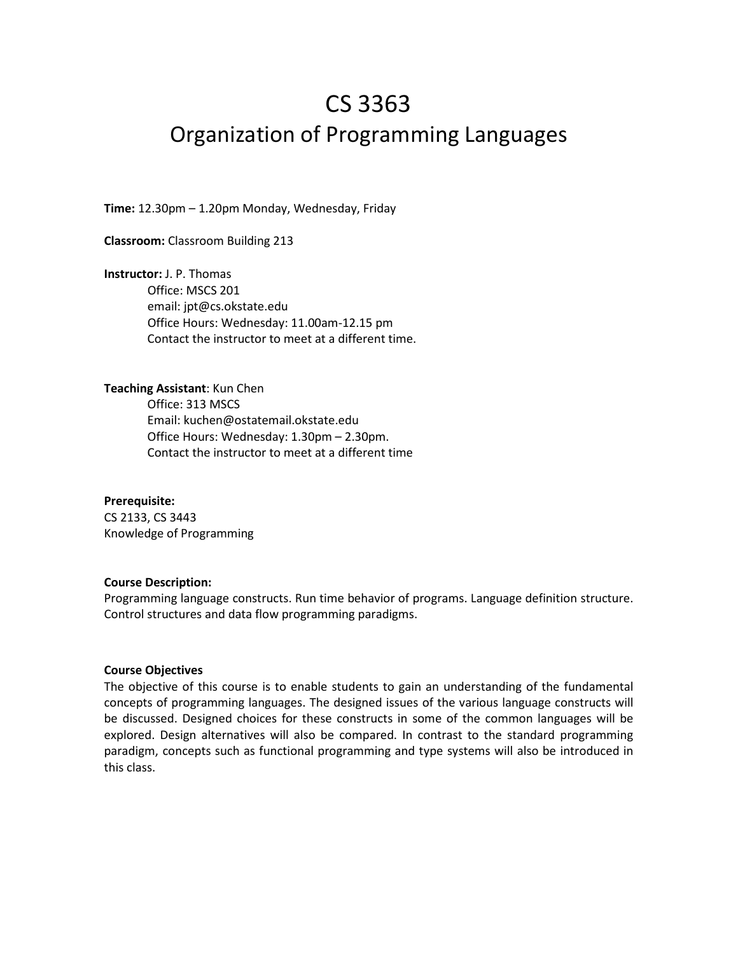# CS 3363 Organization of Programming Languages

**Time:** 12.30pm – 1.20pm Monday, Wednesday, Friday

**Classroom:** Classroom Building 213

**Instructor:** J. P. Thomas Office: MSCS 201 email: jpt@cs.okstate.edu Office Hours: Wednesday: 11.00am-12.15 pm Contact the instructor to meet at a different time.

### **Teaching Assistant**: Kun Chen

Office: 313 MSCS Email: kuchen@ostatemail.okstate.edu Office Hours: Wednesday: 1.30pm – 2.30pm. Contact the instructor to meet at a different time

#### **Prerequisite:**

CS 2133, CS 3443 Knowledge of Programming

#### **Course Description:**

Programming language constructs. Run time behavior of programs. Language definition structure. Control structures and data flow programming paradigms.

## **Course Objectives**

The objective of this course is to enable students to gain an understanding of the fundamental concepts of programming languages. The designed issues of the various language constructs will be discussed. Designed choices for these constructs in some of the common languages will be explored. Design alternatives will also be compared. In contrast to the standard programming paradigm, concepts such as functional programming and type systems will also be introduced in this class.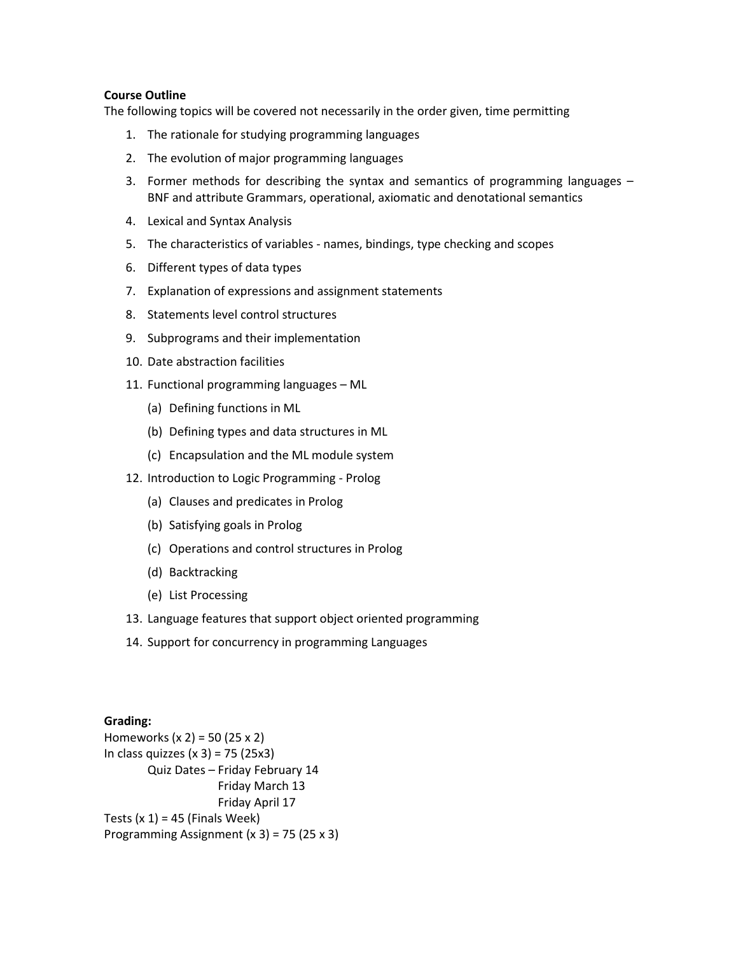# **Course Outline**

The following topics will be covered not necessarily in the order given, time permitting

- 1. The rationale for studying programming languages
- 2. The evolution of major programming languages
- 3. Former methods for describing the syntax and semantics of programming languages BNF and attribute Grammars, operational, axiomatic and denotational semantics
- 4. Lexical and Syntax Analysis
- 5. The characteristics of variables names, bindings, type checking and scopes
- 6. Different types of data types
- 7. Explanation of expressions and assignment statements
- 8. Statements level control structures
- 9. Subprograms and their implementation
- 10. Date abstraction facilities
- 11. Functional programming languages ML
	- (a) Defining functions in ML
	- (b) Defining types and data structures in ML
	- (c) Encapsulation and the ML module system
- 12. Introduction to Logic Programming Prolog
	- (a) Clauses and predicates in Prolog
	- (b) Satisfying goals in Prolog
	- (c) Operations and control structures in Prolog
	- (d) Backtracking
	- (e) List Processing
- 13. Language features that support object oriented programming
- 14. Support for concurrency in programming Languages

## **Grading:**

Homeworks (x 2) = 50 (25 x 2) In class quizzes  $(x 3) = 75 (25x3)$ Quiz Dates – Friday February 14 Friday March 13 Friday April 17 Tests  $(x 1) = 45$  (Finals Week) Programming Assignment (x 3) = 75 (25 x 3)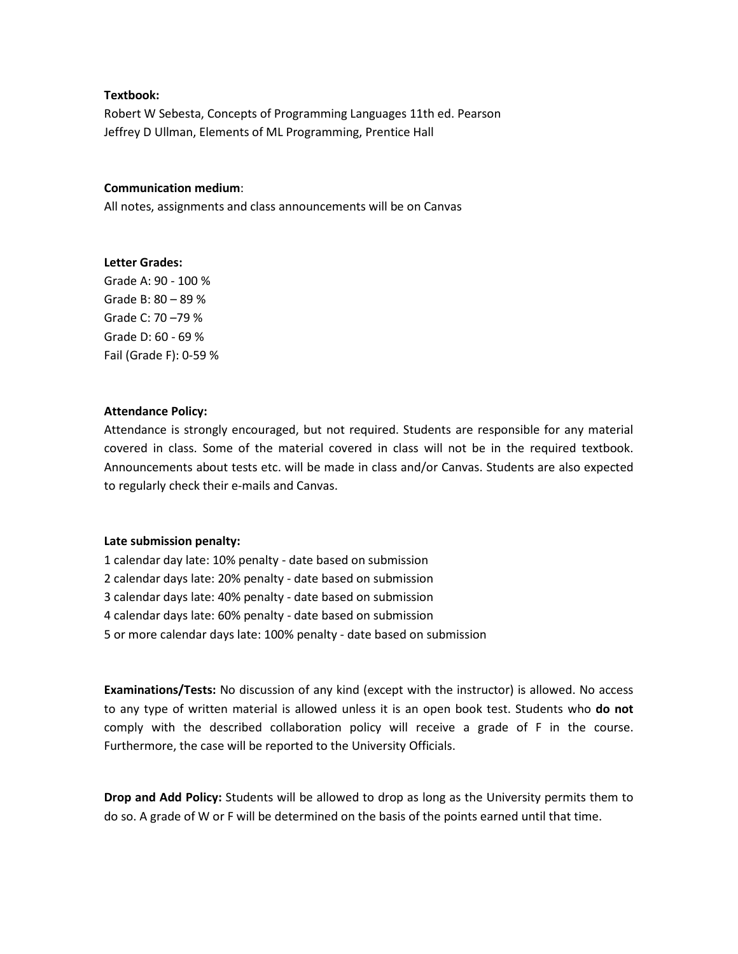## **Textbook:**

Robert W Sebesta, Concepts of Programming Languages 11th ed. Pearson Jeffrey D Ullman, Elements of ML Programming, Prentice Hall

## **Communication medium**:

All notes, assignments and class announcements will be on Canvas

### **Letter Grades:**

Grade A: 90 - 100 % Grade B: 80 – 89 % Grade C: 70 –79 % Grade D: 60 - 69 % Fail (Grade F): 0-59 %

### **Attendance Policy:**

Attendance is strongly encouraged, but not required. Students are responsible for any material covered in class. Some of the material covered in class will not be in the required textbook. Announcements about tests etc. will be made in class and/or Canvas. Students are also expected to regularly check their e-mails and Canvas.

#### **Late submission penalty:**

1 calendar day late: 10% penalty - date based on submission

- 2 calendar days late: 20% penalty date based on submission
- 3 calendar days late: 40% penalty date based on submission
- 4 calendar days late: 60% penalty date based on submission
- 5 or more calendar days late: 100% penalty date based on submission

**Examinations/Tests:** No discussion of any kind (except with the instructor) is allowed. No access to any type of written material is allowed unless it is an open book test. Students who **do not**  comply with the described collaboration policy will receive a grade of F in the course. Furthermore, the case will be reported to the University Officials.

**Drop and Add Policy:** Students will be allowed to drop as long as the University permits them to do so. A grade of W or F will be determined on the basis of the points earned until that time.